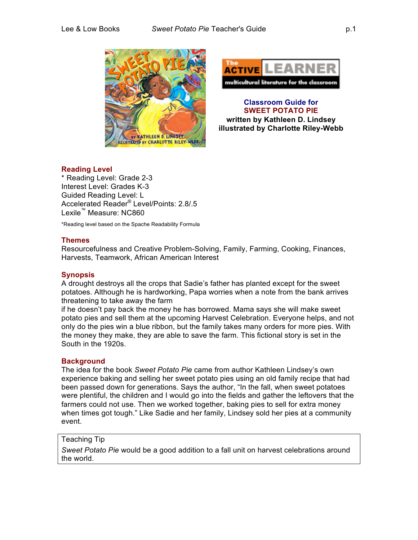



**Classroom Guide for SWEET POTATO PIE written by Kathleen D. Lindsey illustrated by Charlotte Riley-Webb** 

# **Reading Level**

\* Reading Level: Grade 2-3 Interest Level: Grades K-3 Guided Reading Level: L Accelerated Reader® Level/Points: 2.8/.5 Lexile™ Measure: NC860

\*Reading level based on the Spache Readability Formula

### **Themes**

Resourcefulness and Creative Problem-Solving, Family, Farming, Cooking, Finances, Harvests, Teamwork, African American Interest

## **Synopsis**

A drought destroys all the crops that Sadie's father has planted except for the sweet potatoes. Although he is hardworking, Papa worries when a note from the bank arrives threatening to take away the farm

if he doesn't pay back the money he has borrowed. Mama says she will make sweet potato pies and sell them at the upcoming Harvest Celebration. Everyone helps, and not only do the pies win a blue ribbon, but the family takes many orders for more pies. With the money they make, they are able to save the farm. This fictional story is set in the South in the 1920s.

## **Background**

The idea for the book *Sweet Potato Pie* came from author Kathleen Lindsey's own experience baking and selling her sweet potato pies using an old family recipe that had been passed down for generations. Says the author, "In the fall, when sweet potatoes were plentiful, the children and I would go into the fields and gather the leftovers that the farmers could not use. Then we worked together, baking pies to sell for extra money when times got tough." Like Sadie and her family, Lindsey sold her pies at a community event.

## Teaching Tip

*Sweet Potato Pie* would be a good addition to a fall unit on harvest celebrations around the world.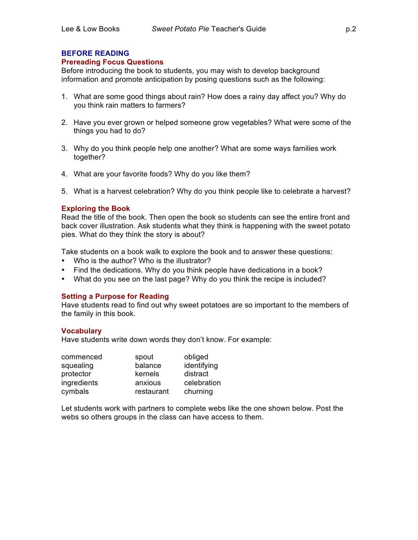## **Prereading Focus Questions**

Before introducing the book to students, you may wish to develop background information and promote anticipation by posing questions such as the following:

- 1. What are some good things about rain? How does a rainy day affect you? Why do you think rain matters to farmers?
- 2. Have you ever grown or helped someone grow vegetables? What were some of the things you had to do?
- 3. Why do you think people help one another? What are some ways families work together?
- 4. What are your favorite foods? Why do you like them?
- 5. What is a harvest celebration? Why do you think people like to celebrate a harvest?

## **Exploring the Book**

Read the title of the book. Then open the book so students can see the entire front and back cover illustration. Ask students what they think is happening with the sweet potato pies. What do they think the story is about?

Take students on a book walk to explore the book and to answer these questions:

- Who is the author? Who is the illustrator?
- Find the dedications. Why do you think people have dedications in a book?
- What do you see on the last page? Why do you think the recipe is included?

## **Setting a Purpose for Reading**

Have students read to find out why sweet potatoes are so important to the members of the family in this book.

#### **Vocabulary**

Have students write down words they don't know. For example:

| commenced   | spout      | obliged     |
|-------------|------------|-------------|
| squealing   | balance    | identifying |
| protector   | kernels    | distract    |
| ingredients | anxious    | celebration |
| cymbals     | restaurant | churning    |

Let students work with partners to complete webs like the one shown below. Post the webs so others groups in the class can have access to them.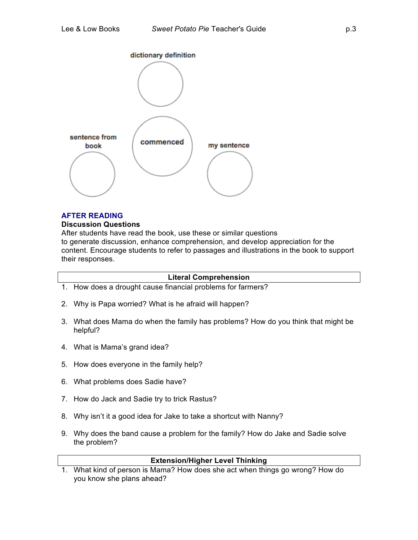

# **AFTER READING**

### **Discussion Questions**

After students have read the book, use these or similar questions to generate discussion, enhance comprehension, and develop appreciation for the content. Encourage students to refer to passages and illustrations in the book to support their responses.

## **Literal Comprehension**

- 1. How does a drought cause financial problems for farmers?
- 2. Why is Papa worried? What is he afraid will happen?
- 3. What does Mama do when the family has problems? How do you think that might be helpful?
- 4. What is Mama's grand idea?
- 5. How does everyone in the family help?
- 6. What problems does Sadie have?
- 7. How do Jack and Sadie try to trick Rastus?
- 8. Why isn't it a good idea for Jake to take a shortcut with Nanny?
- 9. Why does the band cause a problem for the family? How do Jake and Sadie solve the problem?

## **Extension/Higher Level Thinking**

1. What kind of person is Mama? How does she act when things go wrong? How do you know she plans ahead?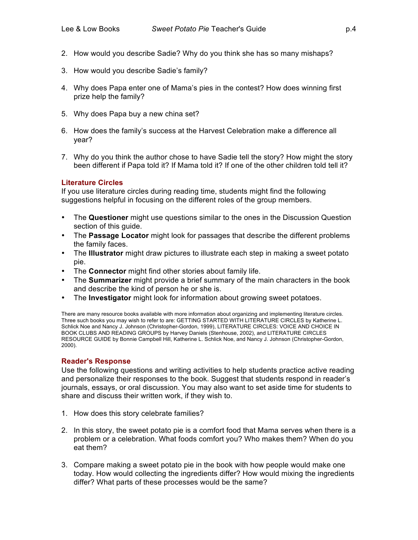- 2. How would you describe Sadie? Why do you think she has so many mishaps?
- 3. How would you describe Sadie's family?
- 4. Why does Papa enter one of Mama's pies in the contest? How does winning first prize help the family?
- 5. Why does Papa buy a new china set?
- 6. How does the family's success at the Harvest Celebration make a difference all year?
- 7. Why do you think the author chose to have Sadie tell the story? How might the story been different if Papa told it? If Mama told it? If one of the other children told tell it?

### **Literature Circles**

If you use literature circles during reading time, students might find the following suggestions helpful in focusing on the different roles of the group members.

- The **Questioner** might use questions similar to the ones in the Discussion Question section of this guide.
- The **Passage Locator** might look for passages that describe the different problems the family faces.
- The **Illustrator** might draw pictures to illustrate each step in making a sweet potato pie.
- The **Connector** might find other stories about family life.
- The **Summarizer** might provide a brief summary of the main characters in the book and describe the kind of person he or she is.
- The **Investigator** might look for information about growing sweet potatoes.

There are many resource books available with more information about organizing and implementing literature circles. Three such books you may wish to refer to are: GETTING STARTED WITH LITERATURE CIRCLES by Katherine L. Schlick Noe and Nancy J. Johnson (Christopher-Gordon, 1999), LITERATURE CIRCLES: VOICE AND CHOICE IN BOOK CLUBS AND READING GROUPS by Harvey Daniels (Stenhouse, 2002), and LITERATURE CIRCLES RESOURCE GUIDE by Bonnie Campbell Hill, Katherine L. Schlick Noe, and Nancy J. Johnson (Christopher-Gordon, 2000).

#### **Reader's Response**

Use the following questions and writing activities to help students practice active reading and personalize their responses to the book. Suggest that students respond in reader's journals, essays, or oral discussion. You may also want to set aside time for students to share and discuss their written work, if they wish to.

- 1. How does this story celebrate families?
- 2. In this story, the sweet potato pie is a comfort food that Mama serves when there is a problem or a celebration. What foods comfort you? Who makes them? When do you eat them?
- 3. Compare making a sweet potato pie in the book with how people would make one today. How would collecting the ingredients differ? How would mixing the ingredients differ? What parts of these processes would be the same?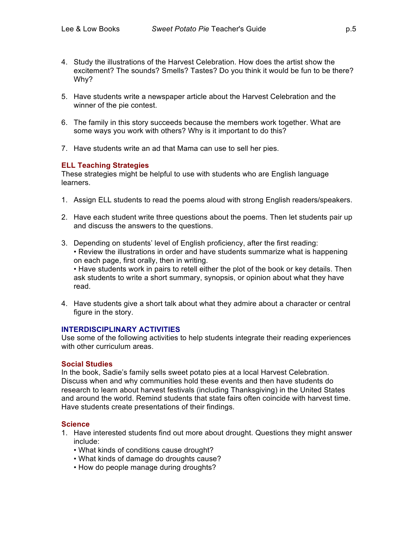- 4. Study the illustrations of the Harvest Celebration. How does the artist show the excitement? The sounds? Smells? Tastes? Do you think it would be fun to be there? Why?
- 5. Have students write a newspaper article about the Harvest Celebration and the winner of the pie contest.
- 6. The family in this story succeeds because the members work together. What are some ways you work with others? Why is it important to do this?
- 7. Have students write an ad that Mama can use to sell her pies.

## **ELL Teaching Strategies**

These strategies might be helpful to use with students who are English language learners.

- 1. Assign ELL students to read the poems aloud with strong English readers/speakers.
- 2. Have each student write three questions about the poems. Then let students pair up and discuss the answers to the questions.
- 3. Depending on students' level of English proficiency, after the first reading: • Review the illustrations in order and have students summarize what is happening on each page, first orally, then in writing. • Have students work in pairs to retell either the plot of the book or key details. Then ask students to write a short summary, synopsis, or opinion about what they have read.
- 4. Have students give a short talk about what they admire about a character or central figure in the story.

### **INTERDISCIPLINARY ACTIVITIES**

Use some of the following activities to help students integrate their reading experiences with other curriculum areas.

## **Social Studies**

In the book, Sadie's family sells sweet potato pies at a local Harvest Celebration. Discuss when and why communities hold these events and then have students do research to learn about harvest festivals (including Thanksgiving) in the United States and around the world. Remind students that state fairs often coincide with harvest time. Have students create presentations of their findings.

## **Science**

- 1. Have interested students find out more about drought. Questions they might answer include:
	- What kinds of conditions cause drought?
	- What kinds of damage do droughts cause?
	- How do people manage during droughts?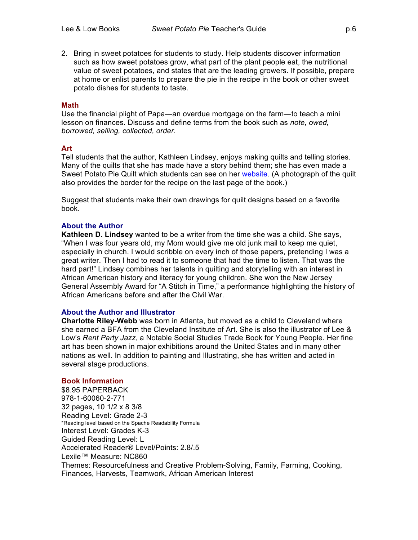2. Bring in sweet potatoes for students to study. Help students discover information such as how sweet potatoes grow, what part of the plant people eat, the nutritional value of sweet potatoes, and states that are the leading growers. If possible, prepare at home or enlist parents to prepare the pie in the recipe in the book or other sweet potato dishes for students to taste.

### **Math**

Use the financial plight of Papa—an overdue mortgage on the farm—to teach a mini lesson on finances. Discuss and define terms from the book such as *note, owed, borrowed, selling, collected, order*.

### **Art**

Tell students that the author, Kathleen Lindsey, enjoys making quilts and telling stories. Many of the quilts that she has made have a story behind them; she has even made a Sweet Potato Pie Quilt which students can see on her website. (A photograph of the quilt also provides the border for the recipe on the last page of the book.)

Suggest that students make their own drawings for quilt designs based on a favorite book.

### **About the Author**

**Kathleen D. Lindsey** wanted to be a writer from the time she was a child. She says, "When I was four years old, my Mom would give me old junk mail to keep me quiet, especially in church. I would scribble on every inch of those papers, pretending I was a great writer. Then I had to read it to someone that had the time to listen. That was the hard part!" Lindsey combines her talents in quilting and storytelling with an interest in African American history and literacy for young children. She won the New Jersey General Assembly Award for "A Stitch in Time," a performance highlighting the history of African Americans before and after the Civil War.

## **About the Author and Illustrator**

**Charlotte Riley-Webb** was born in Atlanta, but moved as a child to Cleveland where she earned a BFA from the Cleveland Institute of Art. She is also the illustrator of Lee & Low's *Rent Party Jazz*, a Notable Social Studies Trade Book for Young People. Her fine art has been shown in major exhibitions around the United States and in many other nations as well. In addition to painting and Illustrating, she has written and acted in several stage productions.

## **Book Information**

\$8.95 PAPERBACK 978-1-60060-2-771 32 pages, 10 1/2 x 8 3/8 Reading Level: Grade 2-3 \*Reading level based on the Spache Readability Formula Interest Level: Grades K-3 Guided Reading Level: L Accelerated Reader® Level/Points: 2.8/.5 Lexile™ Measure: NC860 Themes: Resourcefulness and Creative Problem-Solving, Family, Farming, Cooking, Finances, Harvests, Teamwork, African American Interest